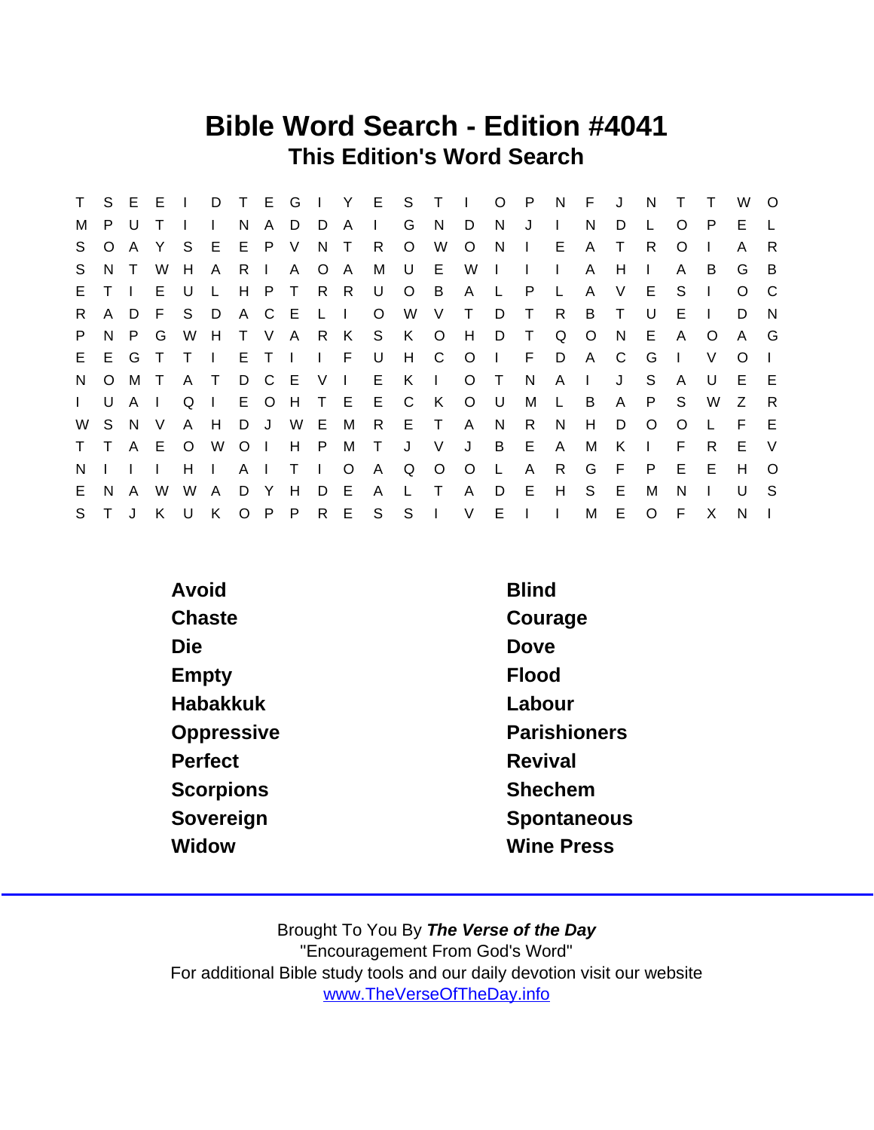## Bible Word Search - Edition #4041 This Edition's Word Search

| T.           | S.      | E.     | Е      |         | D      | T.           | E.             | G            | $\mathbf{L}$   | Y.      | E            | S.      | $\top$       | I.      | $\circ$      | P            | N            | F            | J  | N       |         | т  | W        | $\circ$      |
|--------------|---------|--------|--------|---------|--------|--------------|----------------|--------------|----------------|---------|--------------|---------|--------------|---------|--------------|--------------|--------------|--------------|----|---------|---------|----|----------|--------------|
| м            | P       | U      |        |         |        | N            | A              | D            | D              | A       | $\mathbf{L}$ | G       | <sub>N</sub> | D       | N.           | J            | $\mathbf{L}$ | N            | D  |         | O       | P  | E.       |              |
| S.           | O       | A      |        | S.      | E      | E            | P.             | V            | N.             | $\top$  | R            | $\circ$ | W            | O       | N            | $\Box$       | Е            | A            | T  | R       | O       |    | A        | R            |
| S            | N.      | $\top$ | W      | H       | A      | R.           | $\mathbf{L}$   | A            | O A            |         | М            | U       | E.           | W       |              | $\mathbf{I}$ | $\mathbf{L}$ | A            | H  |         | A       | B  | G        | B            |
| E.           |         | Ι.     | E.     | U       |        | H            | P              | $\top$       |                | R R     | U            | $\circ$ | B            | A       | $\mathbf{L}$ | P            | L            | A            | V  | E       | S       |    | $\Omega$ | C            |
| R.           | A       | D.     | E      | S.      | D      | A            | C.             | E            | L I            |         | O            | W       | V            | T       | D            | Τ            | R            | B            | T  | U       | Е       |    | D        | N            |
| P            | N       | P.     | G      | W       | H      | $\mathsf{T}$ | V.             | A            |                | R K     | S            | K       | $\circ$      | H       | D            | T            | Q            | $\circ$      | N  | Е       | A       | O  | A        | G            |
| E.           | E.      | G      |        |         |        | E.           | $\top$         | $\mathbf{I}$ | $\mathsf{L}$ F |         | U            | H       | C            | $\circ$ |              | F            | D            | A            | C  | G       |         | V  | O        | $\mathbf{L}$ |
| N            | $\circ$ | М      | $\top$ | A       | $\top$ | D            | C              | E            | V              | $\Box$  | E.           | K       | $\mathbf{L}$ | $\circ$ | $\top$       | N            | A            | $\mathbf{I}$ | J  | S       | A       | U  | Е        | -E           |
| $\mathbf{L}$ | U       | A      |        | Q       |        | E            | $\circ$        | H            | $\top$         | - E     | Е            | C       | K            | $\circ$ | - U          | M            | L            | B            | A  | P       | S       | W  | Z        | $\mathsf{R}$ |
| W            | S       | N.     | V      | A       | H      | D            | J              | W            | Е              | М       | R.           | E T     |              | A       | N            | R.           | N            | Н            | D  | O       | $\circ$ |    | F        | E            |
| $\mathsf{T}$ |         | A      | E      | $\circ$ | W      | $\circ$      | $\blacksquare$ | H            | P              | М       | $\top$       | J       | V            | J       | B            | Е            | A            | м            | K  |         | F       | R. | E        | V            |
| N            |         |        |        | н       |        | A            |                | т            | $\mathbf{I}$   | $\circ$ | A            | Q       | $\circ$      | $\circ$ |              | A            | R            | G            | F  | P       | E       | Е  | H        | $\Omega$     |
| E.           | N.      | A      | W      | W       | A      | D.           | Y              | Н            | D              | E       | A            | L       | T            | A       | D            | Е            | H            | S            | E  | м       | N       |    | U        | -S           |
| S            |         | J      | K      | U       | K      | $\circ$      | P              | P            | R E            |         | S            | S       | $\mathbf{I}$ | $\vee$  | E            | $\mathbf{I}$ | $\mathbf{I}$ | М            | E. | $\circ$ | F       | X  | N        |              |

| <b>Blind</b>        |
|---------------------|
| Courage             |
| Dove                |
| Flood               |
| Labour              |
| <b>Parishioners</b> |
| Revival             |
| Shechem             |
| Spontaneous         |
| <b>Wine Press</b>   |
|                     |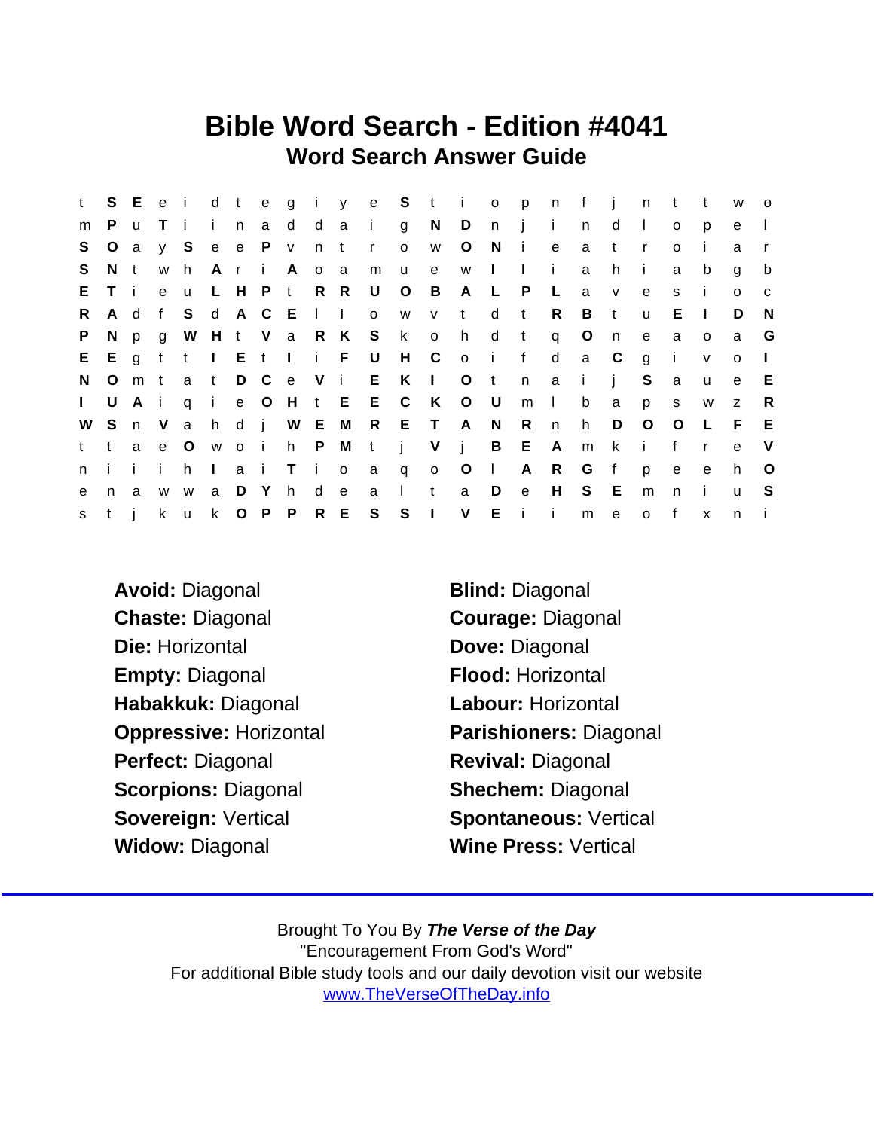## Bible Word Search - Edition #4041 Word Search Answer Guide

| t.           | S.      |          |              |              |              |       |         |             |     |                  |                 |                         |                |                         |              | Eeidtegiye Stiopn |                 | $-f$                      | $\mathbf{i}$ | n t            |              | $-t$         | W            | $\overline{O}$ |
|--------------|---------|----------|--------------|--------------|--------------|-------|---------|-------------|-----|------------------|-----------------|-------------------------|----------------|-------------------------|--------------|-------------------|-----------------|---------------------------|--------------|----------------|--------------|--------------|--------------|----------------|
| m            | P.      | <b>u</b> |              | Ti           |              | i n   |         |             |     |                  | ad daig         |                         |                |                         |              | NDnji             |                 | n                         | d            | $\Box$         | $\mathsf{o}$ | p            | e            |                |
| S.           | $\circ$ | a        |              | y S          |              |       | e e P v |             | n t |                  | $\mathbf{r}$    | $\overline{\mathsf{O}}$ | W              | $\circ$                 | N.           | $\mathbf{i}$      | e               | a                         | t            | $\mathsf{r}$   | $\circ$      | $\mathbf{I}$ | a            |                |
| S.           | N t     |          | W            | h.           |              |       |         | AriA        | 0 a |                  | m               | <b>u</b>                | e              |                         | w I          | $\mathbf{1}$      | $\mathbf{i}$    | a                         | h.           | $\mathbf{I}$   | a            | b            | g            | b              |
| E.           | T i     |          | $\mathbf{e}$ | <b>u</b>     |              |       |         | L H P t R R |     |                  | U               | $\circ$                 | $\overline{B}$ | A                       | $\mathsf{L}$ | P                 | $\mathsf{L}$    | a                         | $\mathsf{V}$ | e              | s            | -i-          | $\circ$      | $\mathbf{C}$   |
| R            | A d     |          | f            | S.           |              |       |         | d A C E I I |     |                  | $\mathsf{o}$    | W                       | V              | t                       | d            | $\mathbf{t}$      | R               | B                         | t            | $\mathbf{u}$   | Е            | -1.          | D            | N,             |
| P.           | N.      | p        | $\mathbf{q}$ | W            |              |       |         |             |     |                  | H t V a R K S k |                         | $\overline{O}$ | h                       |              | d t q             |                 | $\circ$                   | n            | $\mathbf{e}$   | a            | $\circ$      | a            | G              |
| E            |         |          |              |              |              |       |         |             |     | Egtt I Et I i FU |                 |                         |                | H C o i f               |              |                   | $\mathsf{d}$    | a C                       |              | $\overline{g}$ | $\mathbf{i}$ | $\mathsf{V}$ | $\mathsf{o}$ | $\Box$         |
| N.           | $\circ$ | m t      |              |              |              |       |         |             |     |                  |                 |                         |                | a t D C e V i E K I O t |              | n                 | a a             | $\mathbf{i}$ $\mathbf{j}$ |              | S              | a            | $\mathsf{u}$ | e            | E.             |
| $\mathbf{L}$ | U       | Ai       |              |              |              |       |         |             |     |                  |                 | q i e O H t E E C K     |                | O U                     |              | m                 | $\sim 1$ .      | $\mathsf b$               | a            | p              | $\mathsf{s}$ | W            | $\mathsf{Z}$ | R              |
| W            |         | S n V    |              |              |              |       |         |             |     |                  |                 | a h d j W E M R E T A   |                |                         | N            | R                 | n               | h.                        | D            | $\circ$        | $\circ$      | $\mathsf{L}$ | F            | E              |
| t.           | t.      | a        | e            | $\circ$      |              | w o i |         |             |     |                  | h P M t j       |                         | $V$ i          |                         |              | B E               | A               | m                         | $\mathsf{k}$ | $\mathbf{I}$   | f            | $\mathbf{r}$ | e            | $\vee$         |
| n.           | i i     |          | $\mathbf{i}$ | h.           | $\pm 1$      |       | a i     |             |     |                  | T i o a q       |                         |                | $0$ O                   | $\sim 1$ .   | A                 | $R_{\parallel}$ | $\mathsf{G}$              | f            | p              | $\mathbf{e}$ | $\mathbf{e}$ | h.           | $\circ$        |
| e            | n.      | a        | W            | W            | a            | D Y   |         | h.          | d e |                  | a               | $\mathcal{A}$           | t              | a                       | D            | $\mathbf{e}$      | H               | S.                        | E.           | m              | n            | j.           | $\mathbf{u}$ | -S             |
| S            | t i     |          | k.           | $\mathsf{u}$ | $\mathsf{k}$ |       | O P P   |             |     |                  | R E S S         |                         | $\sim 1$       | $\vee$                  |              | $E$ $i$ $i$       |                 |                           | m e          | $\circ$        | $-f$         | $\mathsf{x}$ | n            |                |

- Avoid: Diagonal Blind: Diagonal Chaste: Diagonal Courage: Diagonal Die: Horizontal Die: Dove: Diagonal Empty: Diagonal Flood: Horizontal Habakkuk: Diagonal Labour: Horizontal Perfect: Diagonal Revival: Diagonal Scorpions: Diagonal Shechem: Diagonal Sovereign: Vertical Spontaneous: Vertical Widow: Diagonal Wine Press: Vertical
- Oppressive: Horizontal Parishioners: Diagonal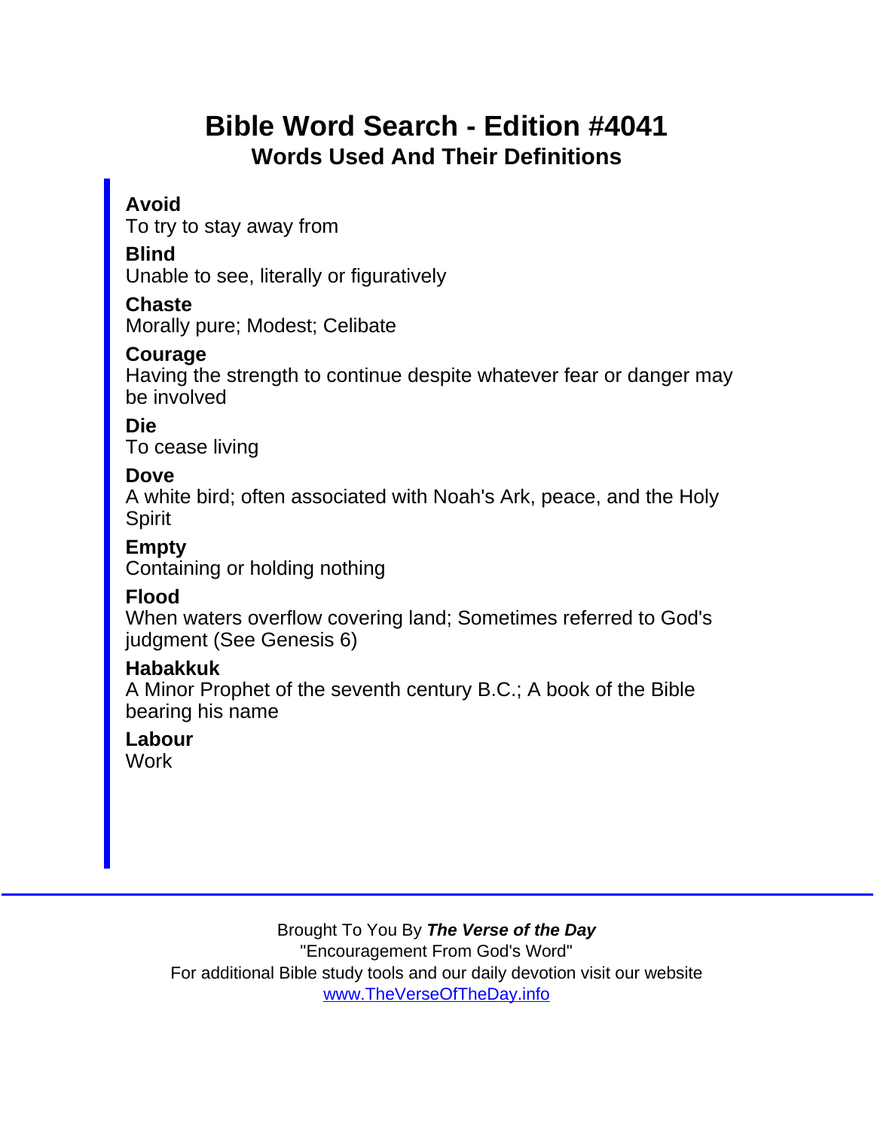# Bible Word Search - Edition #4041 Words Used And Their Definitions

### Avoid

To try to stay away from

**Blind** 

Unable to see, literally or figuratively

**Chaste** 

Morally pure; Modest; Celibate

Courage

Having the strength to continue despite whatever fear or danger may be involved

Die

To cease living

Dove

A white bird; often associated with Noah's Ark, peace, and the Holy Spirit

Empty

Containing or holding nothing

Flood

When waters overflow covering land; Sometimes referred to God's judgment (See Genesis 6)

Habakkuk

A Minor Prophet of the seventh century B.C.; A book of the Bible bearing his name

Labour **Work**